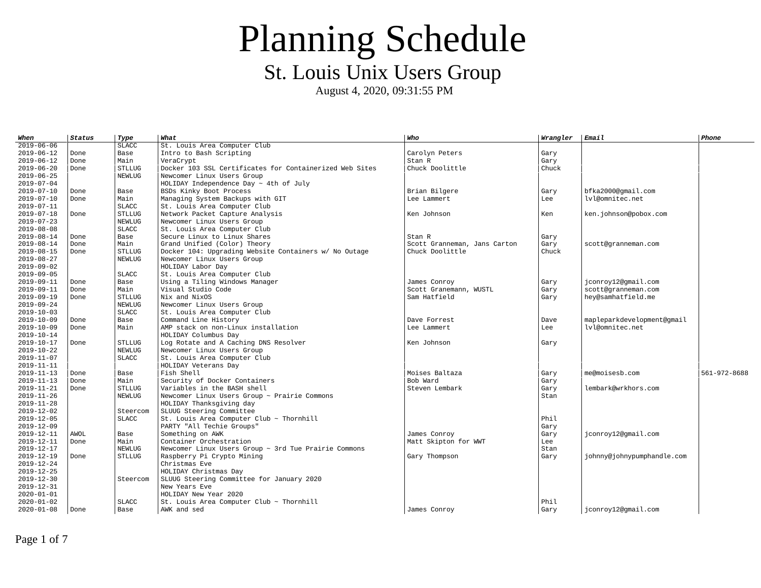| When             | <b>Status</b> | Type          | What                                                      | Who                          | Wrangler | <b>Email</b>               | Phone        |
|------------------|---------------|---------------|-----------------------------------------------------------|------------------------------|----------|----------------------------|--------------|
| $2019 - 06 - 06$ |               | <b>SLACC</b>  | St. Louis Area Computer Club                              |                              |          |                            |              |
| 2019-06-12       | Done          | Base          | Intro to Bash Scripting                                   | Carolyn Peters               | Gary     |                            |              |
| 2019-06-12       | Done          | Main          | VeraCrvpt                                                 | Stan R                       | Gary     |                            |              |
| 2019-06-20       | Done          | <b>STLLUG</b> | Docker 103 SSL Certificates for Containerized Web Sites   | Chuck Doolittle              | Chuck    |                            |              |
| $2019 - 06 - 25$ |               | <b>NEWLUG</b> | Newcomer Linux Users Group                                |                              |          |                            |              |
| 2019-07-04       |               |               | HOLIDAY Independence Day $\sim$ 4th of July               |                              |          |                            |              |
| 2019-07-10       | Done          | Base          | <b>BSDs Kinky Boot Process</b>                            | Brian Bilgere                | Gary     | bfka2000@qmail.com         |              |
| $2019 - 07 - 10$ | Done          | Main          | Managing System Backups with GIT                          | Lee Lammert                  | Lee      | lvl@omnitec.net            |              |
| 2019-07-11       |               | <b>SLACC</b>  | St. Louis Area Computer Club                              |                              |          |                            |              |
| 2019-07-18       | Done          | <b>STLLUG</b> | Network Packet Capture Analysis                           | Ken Johnson                  | Ken      | ken.johnson@pobox.com      |              |
| 2019-07-23       |               | <b>NEWLUG</b> | Newcomer Linux Users Group                                |                              |          |                            |              |
| $2019 - 08 - 08$ |               | <b>SLACC</b>  | St. Louis Area Computer Club                              |                              |          |                            |              |
| 2019-08-14       | Done          | Base          | Secure Linux to Linux Shares                              | Stan R                       | Gary     |                            |              |
| 2019-08-14       | Done          | Main          | Grand Unified (Color) Theory                              | Scott Granneman, Jans Carton | Gary     | scott@granneman.com        |              |
| $2019 - 08 - 15$ | Done          | <b>STLLUG</b> | Docker 104: Upgrading Website Containers w/ No Outage     | Chuck Doolittle              | Chuck    |                            |              |
| $2019 - 08 - 27$ |               | <b>NEWLUG</b> | Newcomer Linux Users Group                                |                              |          |                            |              |
| 2019-09-02       |               |               | HOLIDAY Labor Day                                         |                              |          |                            |              |
| 2019-09-05       |               | <b>SLACC</b>  | St. Louis Area Computer Club                              |                              |          |                            |              |
| 2019-09-11       | Done          | Base          | Using a Tiling Windows Manager                            | James Conroy                 | Gary     | jconroy12@qmail.com        |              |
| 2019-09-11       | Done          | Main          | Visual Studio Code                                        | Scott Granemann, WUSTL       | Gary     | scott@granneman.com        |              |
| 2019-09-19       | Done          | <b>STLLUG</b> | Nix and NixOS                                             | Sam Hatfield                 | Gary     | hey@samhatfield.me         |              |
| 2019-09-24       |               | <b>NEWLUG</b> | Newcomer Linux Users Group                                |                              |          |                            |              |
| 2019-10-03       |               | <b>SLACC</b>  | St. Louis Area Computer Club                              |                              |          |                            |              |
| 2019-10-09       | Done          | Base          | Command Line History                                      | Dave Forrest                 | Dave     | mapleparkdevelopment@gmail |              |
| 2019-10-09       | Done          | Main          | AMP stack on non-Linux installation                       | Lee Lammert                  | Lee      | lvl@omnitec.net            |              |
| 2019-10-14       |               |               | HOLIDAY Columbus Day                                      |                              |          |                            |              |
| 2019-10-17       | Done          | <b>STLLUG</b> | Log Rotate and A Caching DNS Resolver                     | Ken Johnson                  | Gary     |                            |              |
| 2019-10-22       |               | <b>NEWLUG</b> | Newcomer Linux Users Group                                |                              |          |                            |              |
| 2019-11-07       |               | <b>SLACC</b>  | St. Louis Area Computer Club                              |                              |          |                            |              |
| $2019 - 11 - 11$ |               |               | HOLIDAY Veterans Day                                      |                              |          |                            |              |
| 2019-11-13       | Done          | Base          | Fish Shell                                                | Moises Baltaza               | Gary     | me@moisesb.com             | 561-972-8688 |
| 2019-11-13       | Done          | Main          | Security of Docker Containers                             | Bob Ward                     | Gary     |                            |              |
| 2019-11-21       | Done          | <b>STLLUG</b> | Variables in the BASH shell                               | Steven Lembark               | Gary     | lembark@wrkhors.com        |              |
| $2019 - 11 - 26$ |               | <b>NEWLUG</b> | Newcomer Linux Users Group ~ Prairie Commons              |                              | Stan     |                            |              |
| $2019 - 11 - 28$ |               |               | HOLIDAY Thanksgiving day                                  |                              |          |                            |              |
| 2019-12-02       |               | Steercom      | SLUUG Steering Committee                                  |                              |          |                            |              |
| $2019 - 12 - 05$ |               | <b>SLACC</b>  | St. Louis Area Computer Club ~ Thornhill                  |                              | Phil     |                            |              |
| 2019-12-09       |               |               | PARTY "All Techie Groups"                                 |                              | Gary     |                            |              |
| 2019-12-11       | <b>AWOL</b>   | Base          | Something on AWK                                          | James Conroy                 | Gary     | jconroy12@gmail.com        |              |
| 2019-12-11       | Done          | Main          | Container Orchestration                                   | Matt Skipton for WWT         | Lee      |                            |              |
| 2019-12-17       |               | <b>NEWLUG</b> | Newcomer Linux Users Group $\sim$ 3rd Tue Prairie Commons |                              | Stan     |                            |              |
| 2019-12-19       | Done          | <b>STLLUG</b> | Raspberry Pi Crypto Mining                                | Gary Thompson                | Gary     | johnny@johnypumphandle.com |              |
| 2019-12-24       |               |               | Christmas Eve                                             |                              |          |                            |              |
| 2019-12-25       |               |               | HOLIDAY Christmas Day                                     |                              |          |                            |              |
| 2019-12-30       |               | Steercom      | SLUUG Steering Committee for January 2020                 |                              |          |                            |              |
| 2019-12-31       |               |               | New Years Eve                                             |                              |          |                            |              |
| 2020-01-01       |               |               | HOLIDAY New Year 2020                                     |                              |          |                            |              |
| 2020-01-02       |               | <b>SLACC</b>  | St. Louis Area Computer Club $\sim$ Thornhill             |                              | Phil     |                            |              |
| 2020-01-08       | Done          | Base          | AWK and sed                                               | James Conroy                 | Gary     | jconroy12@gmail.com        |              |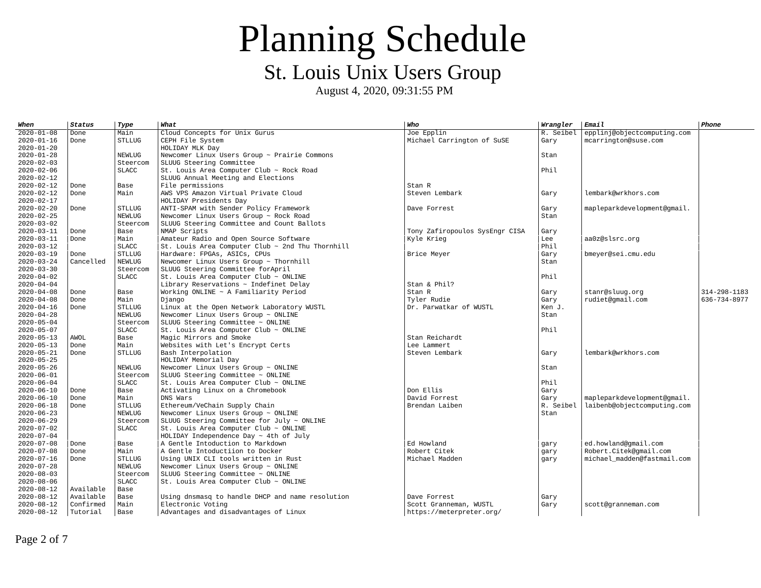August 4, 2020, 09:31:55 PM

| When                           | Status    | Type          | What                                                                  | Who                            | Wrangler  | Email                       | Phone        |
|--------------------------------|-----------|---------------|-----------------------------------------------------------------------|--------------------------------|-----------|-----------------------------|--------------|
| $2020 - 01 - 08$               | Done      | Main          | Cloud Concepts for Unix Gurus                                         | Joe Epplin                     | R. Seibel | epplinj@objectcomputing.com |              |
| $2020 - 01 - 16$               | Done      | <b>STLLUG</b> | CEPH File System                                                      | Michael Carrington of SuSE     | Gary      | mcarrington@suse.com        |              |
| 2020-01-20                     |           |               | HOLIDAY MLK Day                                                       |                                |           |                             |              |
| 2020-01-28                     |           | <b>NEWLUG</b> | Newcomer Linux Users Group ~ Prairie Commons                          |                                | Stan      |                             |              |
| 2020-02-03                     |           | Steercom      | SLUUG Steering Committee                                              |                                |           |                             |              |
| 2020-02-06                     |           | <b>SLACC</b>  | St. Louis Area Computer Club ~ Rock Road                              |                                | Phil      |                             |              |
| 2020-02-12                     |           |               | SLUUG Annual Meeting and Elections                                    |                                |           |                             |              |
| 2020-02-12                     | Done      | Base          | File permissions                                                      | Stan R                         |           |                             |              |
| 2020-02-12                     | Done      | Main          | AWS VPS Amazon Virtual Private Cloud                                  | Steven Lembark                 | Gary      | lembark@wrkhors.com         |              |
| 2020-02-17                     |           |               | HOLIDAY Presidents Day                                                |                                |           |                             |              |
| 2020-02-20                     | Done      | <b>STLLUG</b> | ANTI-SPAM with Sender Policy Framework                                | Dave Forrest                   | Gary      | mapleparkdevelopment@gmail. |              |
| 2020-02-25                     |           | <b>NEWLUG</b> | Newcomer Linux Users Group ~ Rock Road                                |                                | Stan      |                             |              |
| 2020-03-02                     |           | Steercom      | SLUUG Steering Committee and Count Ballots                            |                                |           |                             |              |
| $2020 - 03 - 11$               | Done      | Base          | NMAP Scripts                                                          | Tony Zafiropoulos SysEngr CISA | Gary      |                             |              |
| 2020-03-11                     | Done      | Main          | Amateur Radio and Open Source Software                                | Kyle Krieg                     | Lee       | aa0z@slsrc.org              |              |
| 2020-03-12                     |           | <b>SLACC</b>  | St. Louis Area Computer Club ~ 2nd Thu Thornhill                      |                                | Phil      |                             |              |
| 2020-03-19                     | Done      | <b>STLLUG</b> | Hardware: FPGAs, ASICs, CPUs                                          | Brice Meyer                    | Gary      | bmeyer@sei.cmu.edu          |              |
| 2020-03-24                     | Cancelled | NEWLUG        | Newcomer Linux Users Group $\sim$ Thornhill                           |                                | Stan      |                             |              |
| 2020-03-30                     |           | Steercom      | SLUUG Steering Committee forApril                                     |                                |           |                             |              |
| $2020 - 04 - 02$               |           | <b>SLACC</b>  | St. Louis Area Computer Club $\sim$ ONLINE                            |                                | Phil      |                             |              |
| $2020 - 04 - 04$               |           |               | Library Reservations $\sim$ Indefinet Delay                           | Stan & Phil?                   |           |                             |              |
| 2020-04-08                     | Done      | Base          | Working ONLINE $\sim$ A Familiarity Period                            | Stan R                         | Gary      | stanr@sluuq.org             | 314-298-1183 |
| 2020-04-08                     | Done      | Main          | Django                                                                | Tyler Rudie                    | Gary      | rudiet@gmail.com            | 636-734-8977 |
| $2020 - 04 - 16$               | Done      | <b>STLLUG</b> | Linux at the Open Network Laboratory WUSTL                            | Dr. Parwatkar of WUSTL         | Ken J.    |                             |              |
| 2020-04-28                     |           | <b>NEWLUG</b> | Newcomer Linux Users Group $\sim$ ONLINE                              |                                | Stan      |                             |              |
| 2020-05-04                     |           | Steercom      | SLUUG Steering Committee $\sim$ ONLINE                                |                                | Phil      |                             |              |
| $2020 - 05 - 07$               | AWOL      | <b>SLACC</b>  | St. Louis Area Computer Club $\sim$ ONLINE<br>Magic Mirrors and Smoke | Stan Reichardt                 |           |                             |              |
| 2020-05-13                     | Done      | Base          |                                                                       | Lee Lammert                    |           |                             |              |
| $2020 - 05 - 13$               | Done      | Main          | Websites with Let's Encrypt Certs                                     |                                |           |                             |              |
| 2020-05-21<br>$2020 - 05 - 25$ |           | <b>STLLUG</b> | Bash Interpolation                                                    | Steven Lembark                 | Gary      | lembark@wrkhors.com         |              |
| 2020-05-26                     |           | <b>NEWLUG</b> | HOLIDAY Memorial Day<br>Newcomer Linux Users Group ~ ONLINE           |                                | Stan      |                             |              |
| 2020-06-01                     |           | Steercom      | SLUUG Steering Committee $\sim$ ONLINE                                |                                |           |                             |              |
| 2020-06-04                     |           | <b>SLACC</b>  | St. Louis Area Computer Club $\sim$ ONLINE                            |                                | Phil      |                             |              |
| 2020-06-10                     | Done      | Base          | Activating Linux on a Chromebook                                      | Don Ellis                      | Gary      |                             |              |
| $2020 - 06 - 10$               | Done      | Main          | DNS Wars                                                              | David Forrest                  | Gary      | mapleparkdevelopment@qmail. |              |
| $2020 - 06 - 18$               | Done      | <b>STLLUG</b> | Ethereum/VeChain Supply Chain                                         | Brendan Laiben                 | R. Seibel | laibenb@objectcomputing.com |              |
| 2020-06-23                     |           | <b>NEWLUG</b> | Newcomer Linux Users Group $\sim$ ONLINE                              |                                | Stan      |                             |              |
| 2020-06-29                     |           | Steercom      | SLUUG Steering Committee for July $\sim$ ONLINE                       |                                |           |                             |              |
| 2020-07-02                     |           | <b>SLACC</b>  | St. Louis Area Computer Club $\sim$ ONLINE                            |                                |           |                             |              |
| 2020-07-04                     |           |               | HOLIDAY Independence Day $\sim$ 4th of July                           |                                |           |                             |              |
| $2020 - 07 - 08$               | Done      | Base          | A Gentle Intoduction to Markdown                                      | Ed Howland                     | gary      | ed.howland@gmail.com        |              |
| 2020-07-08                     | Done      | Main          | A Gentle Intoductiion to Docker                                       | Robert Citek                   | gary      | Robert.Citek@qmail.com      |              |
| $2020 - 07 - 16$               | Done      | <b>STLLUG</b> | Using UNIX CLI tools written in Rust                                  | Michael Madden                 | gary      | michael madden@fastmail.com |              |
| 2020-07-28                     |           | <b>NEWLUG</b> | Newcomer Linux Users Group ~ ONLINE                                   |                                |           |                             |              |
| $2020 - 08 - 03$               |           | Steercom      | SLUUG Steering Committee $\sim$ ONLINE                                |                                |           |                             |              |
| 2020-08-06                     |           | <b>SLACC</b>  | St. Louis Area Computer Club $\sim$ ONLINE                            |                                |           |                             |              |
| 2020-08-12                     | Available | Base          |                                                                       |                                |           |                             |              |
| 2020-08-12                     | Available | Base          | Using dnsmasq to handle DHCP and name resolution                      | Dave Forrest                   | Gary      |                             |              |
| 2020-08-12                     | Confirmed | Main          | Electronic Voting                                                     | Scott Granneman, WUSTL         | Gary      | scott@granneman.com         |              |
| 2020-08-12                     | Tutorial  | Base          | Advantages and disadvantages of Linux                                 | https://meterpreter.org/       |           |                             |              |

Page 2 of 7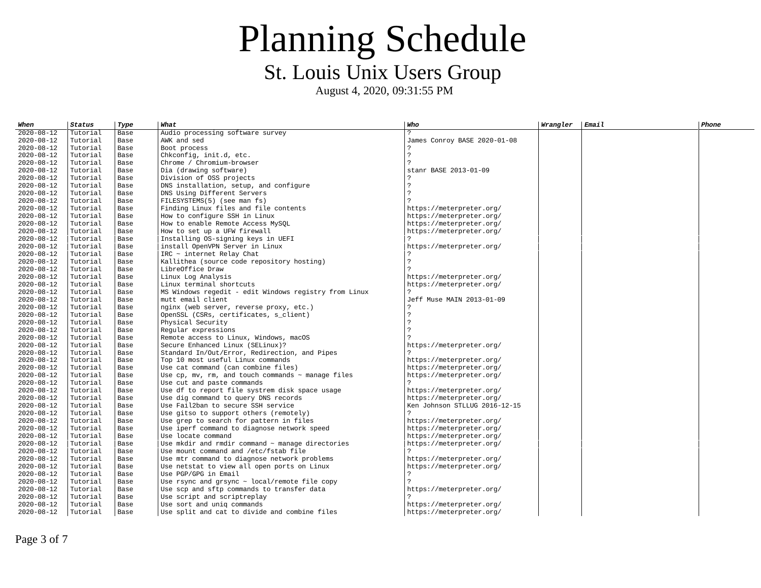| When             | Status   | Type | What                                                      | Who                           | Wrangler | <b>Email</b> | Phone |
|------------------|----------|------|-----------------------------------------------------------|-------------------------------|----------|--------------|-------|
| $2020 - 08 - 12$ | Tutorial | Base | Audio processing software survey                          | 2                             |          |              |       |
| 2020-08-12       | Tutorial | Base | AWK and sed                                               | James Conroy BASE 2020-01-08  |          |              |       |
| 2020-08-12       | Tutorial | Base | Boot process                                              |                               |          |              |       |
| $2020 - 08 - 12$ | Tutorial | Base | Chkconfig, init.d, etc.                                   | $\tilde{ }$                   |          |              |       |
| 2020-08-12       | Tutorial | Base | Chrome / Chromium-browser                                 | $\overline{2}$                |          |              |       |
| $2020 - 08 - 12$ | Tutorial | Base | Dia (drawing software)                                    | stanr BASE 2013-01-09         |          |              |       |
| 2020-08-12       | Tutorial | Base | Division of OSS projects                                  |                               |          |              |       |
| 2020-08-12       | Tutorial | Base | DNS installation, setup, and configure                    | $\overline{z}$                |          |              |       |
| 2020-08-12       | Tutorial | Base | DNS Using Different Servers                               | $\mathcal{P}$                 |          |              |       |
| $2020 - 08 - 12$ | Tutorial | Base | FILESYSTEMS(5) (see man fs)                               | 2                             |          |              |       |
| $2020 - 08 - 12$ | Tutorial | Base | Finding Linux files and file contents                     | https://meterpreter.org/      |          |              |       |
| 2020-08-12       | Tutorial | Base | How to configure SSH in Linux                             | https://meterpreter.org/      |          |              |       |
| 2020-08-12       | Tutorial | Base | How to enable Remote Access MySQL                         | https://meterpreter.org/      |          |              |       |
| 2020-08-12       | Tutorial | Base | How to set up a UFW firewall                              | https://meterpreter.org/      |          |              |       |
| 2020-08-12       | Tutorial | Base | Installing OS-signing keys in UEFI                        | 2                             |          |              |       |
| 2020-08-12       | Tutorial | Base | install OpenVPN Server in Linux                           | https://meterpreter.org/      |          |              |       |
| $2020 - 08 - 12$ | Tutorial | Base | $IRC$ $\sim$ internet Relay Chat                          |                               |          |              |       |
| 2020-08-12       | Tutorial | Base | Kallithea (source code repository hosting)                | $\overline{?}$                |          |              |       |
| 2020-08-12       | Tutorial | Base | LibreOffice Draw                                          |                               |          |              |       |
| 2020-08-12       | Tutorial | Base | Linux Log Analysis                                        | https://meterpreter.org/      |          |              |       |
| 2020-08-12       | Tutorial | Base | Linux terminal shortcuts                                  | https://meterpreter.org/      |          |              |       |
| 2020-08-12       | Tutorial | Base | MS Windows regedit - edit Windows registry from Linux     | 2                             |          |              |       |
| 2020-08-12       | Tutorial | Base | mutt email client                                         | Jeff Muse MAIN 2013-01-09     |          |              |       |
| 2020-08-12       | Tutorial | Base | nginx (web server, reverse proxy, etc.)                   | 2                             |          |              |       |
| 2020-08-12       | Tutorial | Base | OpenSSL (CSRs, certificates, s_client)                    | $\overline{?}$                |          |              |       |
| $2020 - 08 - 12$ | Tutorial | Base | Physical Security                                         | $\overline{z}$                |          |              |       |
| 2020-08-12       | Tutorial | Base | Regular expressions                                       |                               |          |              |       |
| 2020-08-12       | Tutorial | Base | Remote access to Linux, Windows, macOS                    |                               |          |              |       |
| 2020-08-12       | Tutorial | Base | Secure Enhanced Linux (SELinux)?                          | https://meterpreter.org/      |          |              |       |
| 2020-08-12       | Tutorial | Base | Standard In/Out/Error, Redirection, and Pipes             |                               |          |              |       |
| 2020-08-12       | Tutorial | Base | Top 10 most useful Linux commands                         | https://meterpreter.org/      |          |              |       |
| 2020-08-12       | Tutorial | Base | Use cat command (can combine files)                       | https://meterpreter.org/      |          |              |       |
| 2020-08-12       | Tutorial | Base | Use $cp$ , mv, rm, and touch commands $\sim$ manage files | https://meterpreter.org/      |          |              |       |
| 2020-08-12       | Tutorial | Base | Use cut and paste commands                                |                               |          |              |       |
| 2020-08-12       | Tutorial | Base | Use df to report file systrem disk space usage            | https://meterpreter.org/      |          |              |       |
| $2020 - 08 - 12$ | Tutorial | Base | Use dig command to query DNS records                      | https://meterpreter.org/      |          |              |       |
| 2020-08-12       | Tutorial | Base | Use Fail2ban to secure SSH service                        | Ken Johnson STLLUG 2016-12-15 |          |              |       |
| 2020-08-12       | Tutorial | Base | Use gitso to support others (remotely)                    | 2                             |          |              |       |
| 2020-08-12       | Tutorial | Base | Use grep to search for pattern in files                   | https://meterpreter.org/      |          |              |       |
| $2020 - 08 - 12$ | Tutorial | Base | Use iperf command to diagnose network speed               | https://meterpreter.org/      |          |              |       |
| 2020-08-12       | Tutorial | Base | Use locate command                                        | https://meterpreter.org/      |          |              |       |
| 2020-08-12       | Tutorial | Base | Use mkdir and rmdir command $\sim$ manage directories     | https://meterpreter.org/      |          |              |       |
| 2020-08-12       | Tutorial | Base | Use mount command and /etc/fstab file                     | ?                             |          |              |       |
| 2020-08-12       | Tutorial | Base | Use mtr command to diagnose network problems              | https://meterpreter.org/      |          |              |       |
| 2020-08-12       | Tutorial | Base | Use netstat to view all open ports on Linux               | https://meterpreter.org/      |          |              |       |
| $2020 - 08 - 12$ | Tutorial | Base | Use PGP/GPG in Email                                      |                               |          |              |       |
| 2020-08-12       | Tutorial | Base | Use rsync and grsync $\sim$ local/remote file copy        |                               |          |              |       |
| 2020-08-12       | Tutorial | Base | Use scp and sftp commands to transfer data                | https://meterpreter.org/      |          |              |       |
| 2020-08-12       | Tutorial | Base | Use script and scriptreplay                               |                               |          |              |       |
| $2020 - 08 - 12$ | Tutorial | Base | Use sort and uniq commands                                | https://meterpreter.org/      |          |              |       |
| 2020-08-12       | Tutorial | Base | Use split and cat to divide and combine files             | https://meterpreter.org/      |          |              |       |
|                  |          |      |                                                           |                               |          |              |       |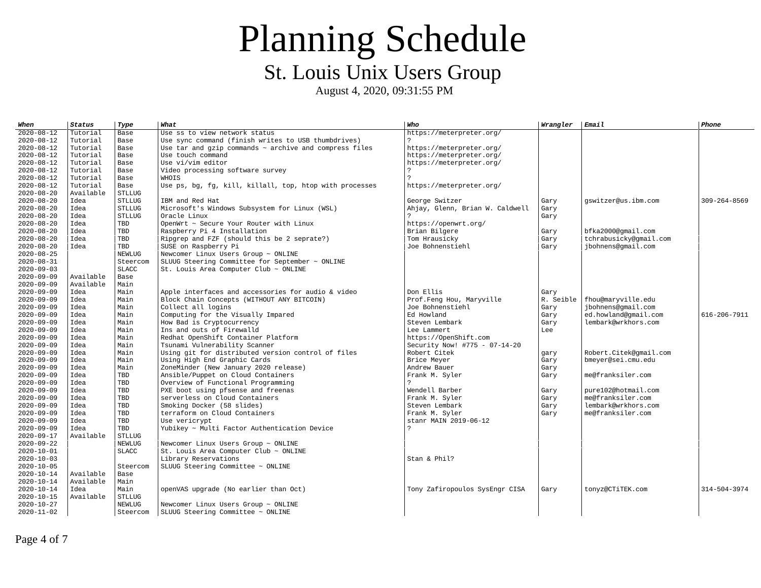August 4, 2020, 09:31:55 PM

| When             | <b>Status</b> | Type          | What                                                          | Who                             | Wrangler  | Email                  | <b>Phone</b> |
|------------------|---------------|---------------|---------------------------------------------------------------|---------------------------------|-----------|------------------------|--------------|
| $2020 - 08 - 12$ | Tutorial      | Base          | Use ss to view network status                                 | https://meterpreter.org/        |           |                        |              |
| 2020-08-12       | Tutorial      | Base          | Use sync command (finish writes to USB thumbdrives)           |                                 |           |                        |              |
| $2020 - 08 - 12$ | Tutorial      | Base          | Use tar and $qzip$ commands $\sim$ archive and compress files | https://meterpreter.org/        |           |                        |              |
| $2020 - 08 - 12$ | Tutorial      | Base          | Use touch command                                             | https://meterpreter.org/        |           |                        |              |
| $2020 - 08 - 12$ | Tutorial      | Base          | Use vi/vim editor                                             | https://meterpreter.org/        |           |                        |              |
| $2020 - 08 - 12$ | Tutorial      | Base          | Video processing software survey                              |                                 |           |                        |              |
| $2020 - 08 - 12$ | Tutorial      | Base          | <b>WHOIS</b>                                                  | $\mathcal{P}$                   |           |                        |              |
| 2020-08-12       | Tutorial      | Base          | Use ps, bg, fg, kill, killall, top, htop with processes       | https://meterpreter.org/        |           |                        |              |
| $2020 - 08 - 20$ | Available     | <b>STLLUG</b> |                                                               |                                 |           |                        |              |
| 2020-08-20       | Idea          | <b>STLLUG</b> | IBM and Red Hat                                               | George Switzer                  | Gary      | gswitzer@us.ibm.com    | 309-264-8569 |
| 2020-08-20       | Idea          | <b>STLLUG</b> | Microsoft's Windows Subsystem for Linux (WSL)                 | Ahjay, Glenn, Brian W. Caldwell | Gary      |                        |              |
| $2020 - 08 - 20$ | Idea          | <b>STLLUG</b> | Oracle Linux                                                  |                                 | Gary      |                        |              |
| 2020-08-20       | Idea          | TBD           | OpenWrt ~ Secure Your Router with Linux                       | https://openwrt.org/            |           |                        |              |
| $2020 - 08 - 20$ | Idea          | TBD           | Raspberry Pi 4 Installation                                   | Brian Bilgere                   | Gary      | bfka2000@gmail.com     |              |
| $2020 - 08 - 20$ | Idea          | <b>TBD</b>    | Ripgrep and FZF (should this be 2 seprate?)                   | Tom Hrausicky                   | Gary      | tchrabusicky@gmail.com |              |
| 2020-08-20       | Idea          | <b>TBD</b>    | SUSE on Raspberry Pi                                          | Joe Bohnenstiehl                | Gary      | ibohnens@gmail.com     |              |
| $2020 - 08 - 25$ |               | <b>NEWLUG</b> | Newcomer Linux Users Group $\sim$ ONLINE                      |                                 |           |                        |              |
| 2020-08-31       |               | Steercom      | SLUUG Steering Committee for September ~ ONLINE               |                                 |           |                        |              |
| 2020-09-03       |               | <b>SLACC</b>  | St. Louis Area Computer Club $\sim$ ONLINE                    |                                 |           |                        |              |
| $2020 - 09 - 09$ | Available     | Base          |                                                               |                                 |           |                        |              |
| $2020 - 09 - 09$ | Available     | Main          |                                                               |                                 |           |                        |              |
| $2020 - 09 - 09$ | Idea          | Main          | Apple interfaces and accessories for audio & video            | Don Ellis                       | Gary      |                        |              |
| $2020 - 09 - 09$ | Idea          | Main          | Block Chain Concepts (WITHOUT ANY BITCOIN)                    | Prof.Feng Hou, Maryville        | R. Seible | fhou@maryville.edu     |              |
| $2020 - 09 - 09$ | Idea          | Main          | Collect all logins                                            | Joe Bohnenstiehl                | Gary      | ibohnens@gmail.com     |              |
| 2020-09-09       | Idea          | Main          | Computing for the Visually Impared                            | Ed Howland                      | Gary      | ed.howland@gmail.com   | 616-206-7911 |
| $2020 - 09 - 09$ | Idea          | Main          | How Bad is Cryptocurrency                                     | Steven Lembark                  | Gary      | lembark@wrkhors.com    |              |
| $2020 - 09 - 09$ | Idea          | Main          | Ins and outs of Firewalld                                     | Lee Lammert                     | Lee       |                        |              |
| $2020 - 09 - 09$ | Idea          | Main          | Redhat OpenShift Container Platform                           | https://0penShift.com           |           |                        |              |
| $2020 - 09 - 09$ | Idea          | Main          | Tsunami Vulnerability Scanner                                 | Security Now! #775 - 07-14-20   |           |                        |              |
| $2020 - 09 - 09$ | Idea          | Main          | Using git for distributed version control of files            | Robert Citek                    | gary      | Robert.Citek@qmail.com |              |
| $2020 - 09 - 09$ | Idea          | Main          | Using High End Graphic Cards                                  | Brice Meyer                     | Gary      | bmeyer@sei.cmu.edu     |              |
| 2020-09-09       | Idea          | Main          | ZoneMinder (New January 2020 release)                         | Andrew Bauer                    | Gary      |                        |              |
| $2020 - 09 - 09$ | Idea          | <b>TBD</b>    | Ansible/Puppet on Cloud Containers                            | Frank M. Syler                  | Gary      | me@franksiler.com      |              |
| $2020 - 09 - 09$ | Idea          | <b>TBD</b>    | Overview of Functional Programming                            | ?                               |           |                        |              |
| $2020 - 09 - 09$ | Idea          | <b>TBD</b>    | PXE boot using pfsense and freenas                            | Wendell Barber                  | Gary      | pure102@hotmail.com    |              |
| 2020-09-09       | Idea          | <b>TBD</b>    | serverless on Cloud Containers                                | Frank M. Syler                  | Gary      | me@franksiler.com      |              |
| $2020 - 09 - 09$ | Idea          | TBD           | Smoking Docker (58 slides)                                    | Steven Lembark                  | Gary      | lembark@wrkhors.com    |              |
| 2020-09-09       | Idea          | <b>TBD</b>    | terraform on Cloud Containers                                 | Frank M. Syler                  | Gary      | me@franksiler.com      |              |
| 2020-09-09       | Idea          | <b>TBD</b>    | Use vericrypt                                                 | stanr MAIN 2019-06-12           |           |                        |              |
| $2020 - 09 - 09$ | Idea          | <b>TBD</b>    | Yubikey ~ Multi Factor Authentication Device                  | 2                               |           |                        |              |
| $2020 - 09 - 17$ | Available     | <b>STLLUG</b> |                                                               |                                 |           |                        |              |
| 2020-09-22       |               | <b>NEWLUG</b> | Newcomer Linux Users Group ~ ONLINE                           |                                 |           |                        |              |
| $2020 - 10 - 01$ |               | <b>SLACC</b>  | St. Louis Area Computer Club $\sim$ ONLINE                    |                                 |           |                        |              |
| 2020-10-03       |               |               | Library Reservations                                          | Stan & Phil?                    |           |                        |              |
| $2020 - 10 - 05$ |               | Steercom      | SLUUG Steering Committee $\sim$ ONLINE                        |                                 |           |                        |              |
| 2020-10-14       | Available     | Base          |                                                               |                                 |           |                        |              |
| $2020 - 10 - 14$ | Available     | Main          |                                                               |                                 |           |                        |              |
| $2020 - 10 - 14$ | Idea          | Main          | openVAS upgrade (No earlier than Oct)                         | Tony Zafiropoulos SysEngr CISA  | Gary      | tonyz@CTiTEK.com       | 314-504-3974 |
| $2020 - 10 - 15$ | Available     | <b>STLLUG</b> |                                                               |                                 |           |                        |              |
| $2020 - 10 - 27$ |               | <b>NEWLUG</b> | Newcomer Linux Users Group ~ ONLINE                           |                                 |           |                        |              |
| 2020-11-02       |               | Steercom      | SLUUG Steering Committee ~ ONLINE                             |                                 |           |                        |              |

Page 4 of 7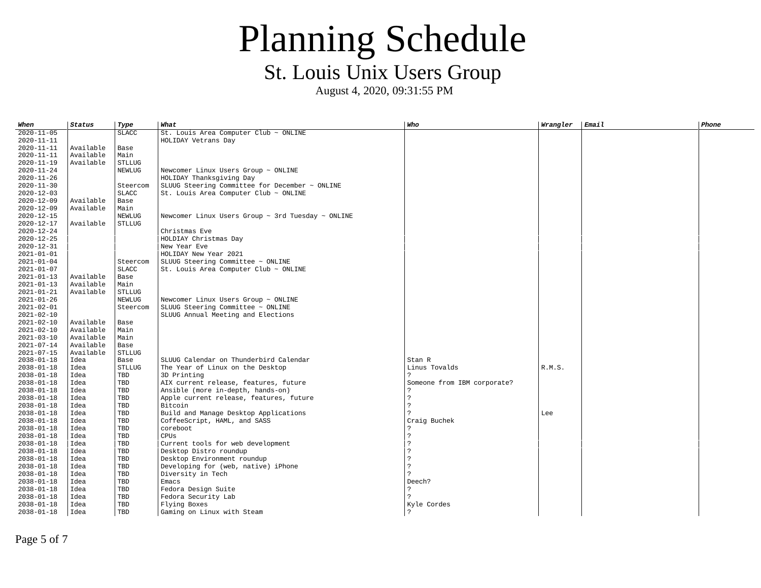# Planning Schedule

St. Louis Unix Users Group

August 4, 2020, 09:31:55 PM

| When             | <b>Status</b> | <b>Type</b>   | What                                                        | Who                         | Wrangler | Email | Phone |
|------------------|---------------|---------------|-------------------------------------------------------------|-----------------------------|----------|-------|-------|
| $2020 - 11 - 05$ |               | <b>SLACC</b>  | St. Louis Area Computer Club $\sim$ ONLINE                  |                             |          |       |       |
| 2020-11-11       |               |               | HOLIDAY Vetrans Day                                         |                             |          |       |       |
| 2020-11-11       | Available     | Base          |                                                             |                             |          |       |       |
| 2020-11-11       | Available     | Main          |                                                             |                             |          |       |       |
| $2020 - 11 - 19$ | Available     | <b>STLLUG</b> |                                                             |                             |          |       |       |
| 2020-11-24       |               | <b>NEWLUG</b> | Newcomer Linux Users Group $\sim$ ONLINE                    |                             |          |       |       |
| $2020 - 11 - 26$ |               |               | HOLIDAY Thanksgiving Day                                    |                             |          |       |       |
| 2020-11-30       |               | Steercom      | SLUUG Steering Committee for December $\sim$ ONLINE         |                             |          |       |       |
| 2020-12-03       |               | <b>SLACC</b>  | St. Louis Area Computer Club $\sim$ ONLINE                  |                             |          |       |       |
| 2020-12-09       | Available     | Base          |                                                             |                             |          |       |       |
| $2020 - 12 - 09$ | Available     | Main          |                                                             |                             |          |       |       |
| 2020-12-15       |               | <b>NEWLUG</b> | Newcomer Linux Users Group $\sim$ 3rd Tuesday $\sim$ ONLINE |                             |          |       |       |
| $2020 - 12 - 17$ | Available     | <b>STLLUG</b> |                                                             |                             |          |       |       |
| $2020 - 12 - 24$ |               |               | Christmas Eve                                               |                             |          |       |       |
| 2020-12-25       |               |               | HOLDIAY Christmas Day                                       |                             |          |       |       |
| 2020-12-31       |               |               | New Year Eve                                                |                             |          |       |       |
| 2021-01-01       |               |               | HOLIDAY New Year 2021                                       |                             |          |       |       |
| 2021-01-04       |               | Steercom      | SLUUG Steering Committee $\sim$ ONLINE                      |                             |          |       |       |
| 2021-01-07       |               | <b>SLACC</b>  | St. Louis Area Computer Club $\sim$ ONLINE                  |                             |          |       |       |
| 2021-01-13       | Available     | Base          |                                                             |                             |          |       |       |
| 2021-01-13       | Available     | Main          |                                                             |                             |          |       |       |
| 2021-01-21       | Available     | <b>STLLUG</b> |                                                             |                             |          |       |       |
| 2021-01-26       |               | <b>NEWLUG</b> | Newcomer Linux Users Group $\sim$ ONLINE                    |                             |          |       |       |
| $2021 - 02 - 01$ |               | Steercom      | SLUUG Steering Committee $\sim$ ONLINE                      |                             |          |       |       |
| $2021 - 02 - 10$ |               |               | SLUUG Annual Meeting and Elections                          |                             |          |       |       |
| $2021 - 02 - 10$ | Available     | Base          |                                                             |                             |          |       |       |
| $2021 - 02 - 10$ | Available     | Main          |                                                             |                             |          |       |       |
| 2021-03-10       | Available     | Main          |                                                             |                             |          |       |       |
| 2021-07-14       | Available     | Base          |                                                             |                             |          |       |       |
| $2021 - 07 - 15$ | Available     | <b>STLLUG</b> |                                                             |                             |          |       |       |
| $2038 - 01 - 18$ | Idea          | Base          | SLUUG Calendar on Thunderbird Calendar                      | Stan R                      |          |       |       |
| 2038-01-18       | Idea          | <b>STLLUG</b> | The Year of Linux on the Desktop                            | Linus Tovalds               | R.M.S.   |       |       |
| 2038-01-18       | Idea          | TBD           | 3D Printing                                                 |                             |          |       |       |
| $2038 - 01 - 18$ | Idea          | <b>TBD</b>    | AIX current release, features, future                       | Someone from IBM corporate? |          |       |       |
| 2038-01-18       | Idea          | <b>TBD</b>    | Ansible (more in-depth, hands-on)                           |                             |          |       |       |
| 2038-01-18       | Idea          | TBD           | Apple current release, features, future                     | $\overline{2}$              |          |       |       |
| $2038 - 01 - 18$ | Idea          | <b>TBD</b>    | <b>Bitcoin</b>                                              | $\overline{2}$              |          |       |       |
| $2038 - 01 - 18$ | Idea          | <b>TBD</b>    | Build and Manage Desktop Applications                       |                             | Lee      |       |       |
| 2038-01-18       | Idea          | TBD           | CoffeeScript, HAML, and SASS                                | Craig Buchek                |          |       |       |
| 2038-01-18       | Idea          | TBD           | coreboot                                                    |                             |          |       |       |
| $2038 - 01 - 18$ | Idea          | <b>TBD</b>    | <b>CPUS</b>                                                 | $\overline{2}$              |          |       |       |
| 2038-01-18       | Idea          | <b>TBD</b>    | Current tools for web development                           | $\overline{2}$              |          |       |       |
| $2038 - 01 - 18$ | Idea          | TBD           | Desktop Distro roundup                                      | $\overline{2}$              |          |       |       |
| 2038-01-18       | Idea          | <b>TBD</b>    | Desktop Environment roundup                                 | 2                           |          |       |       |
| $2038 - 01 - 18$ | Idea          | TBD           | Developing for (web, native) iPhone                         | $\boldsymbol{\mathcal{P}}$  |          |       |       |
| $2038 - 01 - 18$ | Idea          | <b>TBD</b>    | Diversity in Tech                                           |                             |          |       |       |
| 2038-01-18       | Idea          | <b>TBD</b>    | Emacs                                                       | Deech?                      |          |       |       |
| 2038-01-18       | Idea          | <b>TBD</b>    | Fedora Design Suite                                         | $\overline{2}$              |          |       |       |
| 2038-01-18       | Idea          | TBD           | Fedora Security Lab                                         | $\mathcal{P}$               |          |       |       |
| $2038 - 01 - 18$ | Idea          | <b>TBD</b>    | Flying Boxes                                                | Kyle Cordes                 |          |       |       |
| 2038-01-18       | Idea          | <b>TBD</b>    | Gaming on Linux with Steam                                  |                             |          |       |       |

Page 5 of 7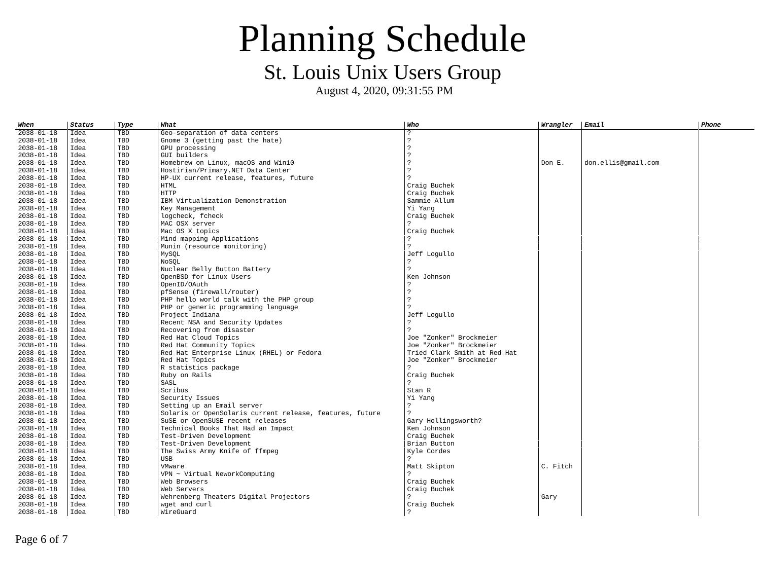| When             | <b>Status</b> | Type       | What                                                     | Who                          | Wrangler | <b>Email</b>        | <b>Phone</b> |
|------------------|---------------|------------|----------------------------------------------------------|------------------------------|----------|---------------------|--------------|
| $2038 - 01 - 18$ | Idea          | <b>TBD</b> | Geo-separation of data centers                           | 2                            |          |                     |              |
| 2038-01-18       | Idea          | TBD        | Gnome 3 (getting past the hate)                          | 2                            |          |                     |              |
| 2038-01-18       | Idea          | TBD        | GPU processing                                           | 2                            |          |                     |              |
| $2038 - 01 - 18$ | Idea          | TBD        | GUI builders                                             | 2                            |          |                     |              |
| $2038 - 01 - 18$ | Idea          | TBD        | Homebrew on Linux, macOS and Win10                       | 2                            | Don E.   | don.ellis@gmail.com |              |
| 2038-01-18       | Idea          | <b>TBD</b> | Hostirian/Primary.NET Data Center                        | 2                            |          |                     |              |
| 2038-01-18       | Idea          | TBD        | HP-UX current release, features, future                  | 2                            |          |                     |              |
| 2038-01-18       | Idea          | TBD        | <b>HTML</b>                                              | Craig Buchek                 |          |                     |              |
| $2038 - 01 - 18$ | Idea          | <b>TBD</b> | <b>HTTP</b>                                              | Craig Buchek                 |          |                     |              |
| $2038 - 01 - 18$ | Idea          | TBD        | IBM Virtualization Demonstration                         | Sammie Allum                 |          |                     |              |
| 2038-01-18       | Idea          | <b>TBD</b> | Key Management                                           | Yi Yang                      |          |                     |              |
| 2038-01-18       | Idea          | TBD        | logcheck, fcheck                                         | Craig Buchek                 |          |                     |              |
| 2038-01-18       | Idea          | <b>TBD</b> | MAC OSX server                                           |                              |          |                     |              |
| $2038 - 01 - 18$ | Idea          | <b>TBD</b> | Mac OS X topics                                          | Craig Buchek                 |          |                     |              |
| 2038-01-18       | Idea          | <b>TBD</b> | Mind-mapping Applications                                |                              |          |                     |              |
| 2038-01-18       | Idea          | TBD        | Munin (resource monitoring)                              |                              |          |                     |              |
| $2038 - 01 - 18$ | Idea          | TBD        | MySQL                                                    | Jeff Logullo                 |          |                     |              |
| 2038-01-18       | Idea          | <b>TBD</b> | <b>NOSOL</b>                                             |                              |          |                     |              |
| $2038 - 01 - 18$ | Idea          | TBD        | Nuclear Belly Button Battery                             | 2                            |          |                     |              |
| $2038 - 01 - 18$ | Idea          | <b>TBD</b> | OpenBSD for Linux Users                                  | Ken Johnson                  |          |                     |              |
| $2038 - 01 - 18$ | Idea          | <b>TBD</b> | OpenID/OAuth                                             |                              |          |                     |              |
| $2038 - 01 - 18$ | Idea          | TBD        | pfSense (firewall/router)                                | ?                            |          |                     |              |
| $2038 - 01 - 18$ | Idea          | TBD        | PHP hello world talk with the PHP group                  | 2                            |          |                     |              |
| $2038 - 01 - 18$ | Idea          | <b>TBD</b> | PHP or generic programming language                      |                              |          |                     |              |
| 2038-01-18       | Idea          | <b>TBD</b> | Project Indiana                                          | Jeff Logullo                 |          |                     |              |
| $2038 - 01 - 18$ | Idea          | <b>TBD</b> | Recent NSA and Security Updates                          | 2                            |          |                     |              |
| $2038 - 01 - 18$ | Idea          | <b>TBD</b> | Recovering from disaster                                 |                              |          |                     |              |
| 2038-01-18       | Idea          | TBD        | Red Hat Cloud Topics                                     | Joe "Zonker" Brockmeier      |          |                     |              |
| 2038-01-18       | Idea          | <b>TBD</b> | Red Hat Community Topics                                 | Joe "Zonker" Brockmeier      |          |                     |              |
| 2038-01-18       | Idea          | TBD        | Red Hat Enterprise Linux (RHEL) or Fedora                | Tried Clark Smith at Red Hat |          |                     |              |
| $2038 - 01 - 18$ | Idea          | <b>TBD</b> | Red Hat Topics                                           | Joe "Zonker" Brockmeier      |          |                     |              |
| 2038-01-18       | Idea          | <b>TBD</b> | R statistics package                                     | っ                            |          |                     |              |
| $2038 - 01 - 18$ | Idea          | <b>TBD</b> | Ruby on Rails                                            | Craig Buchek                 |          |                     |              |
| $2038 - 01 - 18$ | Idea          | <b>TBD</b> | SASL                                                     |                              |          |                     |              |
| 2038-01-18       | Idea          | TBD        | Scribus                                                  | Stan R                       |          |                     |              |
| 2038-01-18       | Idea          | <b>TBD</b> | Security Issues                                          | Yi Yang                      |          |                     |              |
| 2038-01-18       | Idea          | TBD        | Setting up an Email server                               | ?                            |          |                     |              |
| 2038-01-18       | Idea          | TBD        | Solaris or OpenSolaris current release, features, future | $\overline{z}$               |          |                     |              |
| 2038-01-18       | Idea          | <b>TBD</b> | SuSE or OpenSUSE recent releases                         | Gary Hollingsworth?          |          |                     |              |
| $2038 - 01 - 18$ | Idea          | TBD        | Technical Books That Had an Impact                       | Ken Johnson                  |          |                     |              |
| $2038 - 01 - 18$ | Idea          | TBD        | Test-Driven Development                                  | Craig Buchek                 |          |                     |              |
| 2038-01-18       | Idea          | TBD        | Test-Driven Development                                  | Brian Button                 |          |                     |              |
| $2038 - 01 - 18$ | Idea          | TBD        | The Swiss Army Knife of ffmpeg                           | Kyle Cordes                  |          |                     |              |
| $2038 - 01 - 18$ | Idea          | <b>TBD</b> | <b>USB</b>                                               | 2                            |          |                     |              |
| $2038 - 01 - 18$ | Idea          | TBD        | VMware                                                   | Matt Skipton                 | C. Fitch |                     |              |
| 2038-01-18       | Idea          | <b>TBD</b> | $VPN \sim Virtual NeworkComputing$                       |                              |          |                     |              |
| $2038 - 01 - 18$ | Idea          | <b>TBD</b> | Web Browsers                                             | Craig Buchek                 |          |                     |              |
| $2038 - 01 - 18$ | Idea          | TBD        | Web Servers                                              | Craig Buchek                 |          |                     |              |
| 2038-01-18       | Idea          | TBD        | Wehrenberg Theaters Digital Projectors                   |                              | Gary     |                     |              |
| 2038-01-18       | Idea          | <b>TBD</b> | wget and curl                                            | Craig Buchek                 |          |                     |              |
| $2038 - 01 - 18$ | Idea          | <b>TBD</b> | WireGuard                                                |                              |          |                     |              |
|                  |               |            |                                                          |                              |          |                     |              |